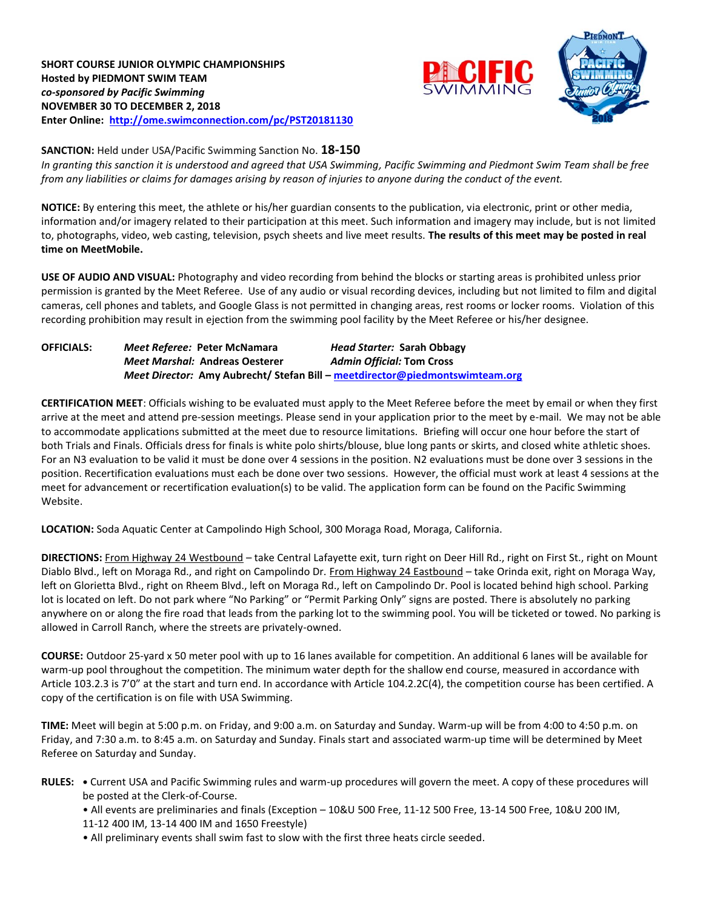



### **SANCTION:** Held under USA/Pacific Swimming Sanction No. **18-150**

*In granting this sanction it is understood and agreed that USA Swimming, Pacific Swimming and Piedmont Swim Team shall be free from any liabilities or claims for damages arising by reason of injuries to anyone during the conduct of the event.*

**NOTICE:** By entering this meet, the athlete or his/her guardian consents to the publication, via electronic, print or other media, information and/or imagery related to their participation at this meet. Such information and imagery may include, but is not limited to, photographs, video, web casting, television, psych sheets and live meet results. **The results of this meet may be posted in real time on MeetMobile.**

**USE OF AUDIO AND VISUAL:** Photography and video recording from behind the blocks or starting areas is prohibited unless prior permission is granted by the Meet Referee. Use of any audio or visual recording devices, including but not limited to film and digital cameras, cell phones and tablets, and Google Glass is not permitted in changing areas, rest rooms or locker rooms. Violation of this recording prohibition may result in ejection from the swimming pool facility by the Meet Referee or his/her designee.

| <b>OFFICIALS:</b> | Meet Referee: Peter McNamara          | Head Starter: Sarah Obbagy                                                   |
|-------------------|---------------------------------------|------------------------------------------------------------------------------|
|                   | <b>Meet Marshal: Andreas Oesterer</b> | <b>Admin Official: Tom Cross</b>                                             |
|                   |                                       | Meet Director: Amy Aubrecht/ Stefan Bill - meetdirector@piedmontswimteam.org |

**CERTIFICATION MEET**: Officials wishing to be evaluated must apply to the Meet Referee before the meet by email or when they first arrive at the meet and attend pre-session meetings. Please send in your application prior to the meet by e-mail. We may not be able to accommodate applications submitted at the meet due to resource limitations. Briefing will occur one hour before the start of both Trials and Finals. Officials dress for finals is white polo shirts/blouse, blue long pants or skirts, and closed white athletic shoes. For an N3 evaluation to be valid it must be done over 4 sessions in the position. N2 evaluations must be done over 3 sessions in the position. Recertification evaluations must each be done over two sessions. However, the official must work at least 4 sessions at the meet for advancement or recertification evaluation(s) to be valid. The application form can be found on the Pacific Swimming Website.

**LOCATION:** Soda Aquatic Center at Campolindo High School, 300 Moraga Road, Moraga, California.

**DIRECTIONS:** From Highway 24 Westbound – take Central Lafayette exit, turn right on Deer Hill Rd., right on First St., right on Mount Diablo Blvd., left on Moraga Rd., and right on Campolindo Dr. From Highway 24 Eastbound – take Orinda exit, right on Moraga Way, left on Glorietta Blvd., right on Rheem Blvd., left on Moraga Rd., left on Campolindo Dr. Pool is located behind high school. Parking lot is located on left. Do not park where "No Parking" or "Permit Parking Only" signs are posted. There is absolutely no parking anywhere on or along the fire road that leads from the parking lot to the swimming pool. You will be ticketed or towed. No parking is allowed in Carroll Ranch, where the streets are privately-owned.

**COURSE:** Outdoor 25-yard x 50 meter pool with up to 16 lanes available for competition. An additional 6 lanes will be available for warm-up pool throughout the competition. The minimum water depth for the shallow end course, measured in accordance with Article 103.2.3 is 7'0" at the start and turn end. In accordance with Article 104.2.2C(4), the competition course has been certified. A copy of the certification is on file with USA Swimming.

**TIME:** Meet will begin at 5:00 p.m. on Friday, and 9:00 a.m. on Saturday and Sunday. Warm-up will be from 4:00 to 4:50 p.m. on Friday, and 7:30 a.m. to 8:45 a.m. on Saturday and Sunday. Finals start and associated warm-up time will be determined by Meet Referee on Saturday and Sunday.

**RULES: •** Current USA and Pacific Swimming rules and warm-up procedures will govern the meet. A copy of these procedures will be posted at the Clerk-of-Course.

• All events are preliminaries and finals (Exception – 10&U 500 Free, 11-12 500 Free, 13-14 500 Free, 10&U 200 IM, 11-12 400 IM, 13-14 400 IM and 1650 Freestyle)

• All preliminary events shall swim fast to slow with the first three heats circle seeded.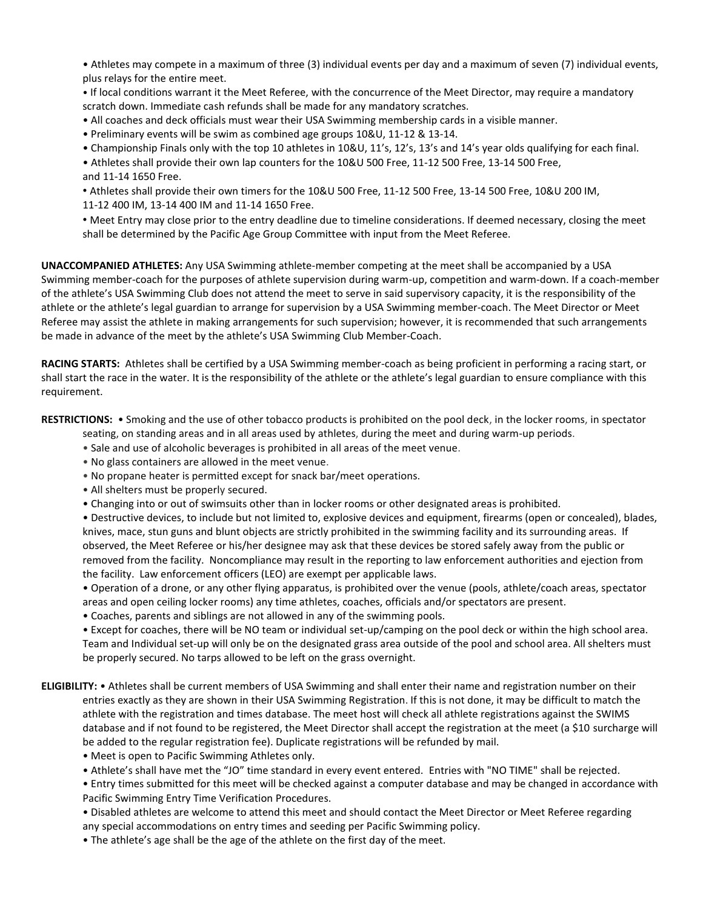• Athletes may compete in a maximum of three (3) individual events per day and a maximum of seven (7) individual events, plus relays for the entire meet.

• If local conditions warrant it the Meet Referee, with the concurrence of the Meet Director, may require a mandatory scratch down. Immediate cash refunds shall be made for any mandatory scratches.

• All coaches and deck officials must wear their USA Swimming membership cards in a visible manner.

• Preliminary events will be swim as combined age groups 10&U, 11-12 & 13-14.

• Championship Finals only with the top 10 athletes in 10&U, 11's, 12's, 13's and 14's year olds qualifying for each final.

• Athletes shall provide their own lap counters for the 10&U 500 Free, 11-12 500 Free, 13-14 500 Free, and 11-14 1650 Free.

• Athletes shall provide their own timers for the 10&U 500 Free, 11-12 500 Free, 13-14 500 Free, 10&U 200 IM, 11-12 400 IM, 13-14 400 IM and 11-14 1650 Free.

• Meet Entry may close prior to the entry deadline due to timeline considerations. If deemed necessary, closing the meet shall be determined by the Pacific Age Group Committee with input from the Meet Referee.

**UNACCOMPANIED ATHLETES:** Any USA Swimming athlete-member competing at the meet shall be accompanied by a USA Swimming member-coach for the purposes of athlete supervision during warm-up, competition and warm-down. If a coach-member of the athlete's USA Swimming Club does not attend the meet to serve in said supervisory capacity, it is the responsibility of the athlete or the athlete's legal guardian to arrange for supervision by a USA Swimming member-coach. The Meet Director or Meet Referee may assist the athlete in making arrangements for such supervision; however, it is recommended that such arrangements be made in advance of the meet by the athlete's USA Swimming Club Member-Coach.

**RACING STARTS:** Athletes shall be certified by a USA Swimming member-coach as being proficient in performing a racing start, or shall start the race in the water. It is the responsibility of the athlete or the athlete's legal guardian to ensure compliance with this requirement.

**RESTRICTIONS:** • Smoking and the use of other tobacco products is prohibited on the pool deck, in the locker rooms, in spectator

- seating, on standing areas and in all areas used by athletes, during the meet and during warm-up periods.
- Sale and use of alcoholic beverages is prohibited in all areas of the meet venue.
- No glass containers are allowed in the meet venue.
- No propane heater is permitted except for snack bar/meet operations.
- All shelters must be properly secured.
- Changing into or out of swimsuits other than in locker rooms or other designated areas is prohibited.

• Destructive devices, to include but not limited to, explosive devices and equipment, firearms (open or concealed), blades, knives, mace, stun guns and blunt objects are strictly prohibited in the swimming facility and its surrounding areas. If observed, the Meet Referee or his/her designee may ask that these devices be stored safely away from the public or removed from the facility. Noncompliance may result in the reporting to law enforcement authorities and ejection from the facility. Law enforcement officers (LEO) are exempt per applicable laws.

• Operation of a drone, or any other flying apparatus, is prohibited over the venue (pools, athlete/coach areas, spectator areas and open ceiling locker rooms) any time athletes, coaches, officials and/or spectators are present.

• Coaches, parents and siblings are not allowed in any of the swimming pools.

• Except for coaches, there will be NO team or individual set-up/camping on the pool deck or within the high school area. Team and Individual set-up will only be on the designated grass area outside of the pool and school area. All shelters must be properly secured. No tarps allowed to be left on the grass overnight.

- **ELIGIBILITY:** Athletes shall be current members of USA Swimming and shall enter their name and registration number on their entries exactly as they are shown in their USA Swimming Registration. If this is not done, it may be difficult to match the athlete with the registration and times database. The meet host will check all athlete registrations against the SWIMS database and if not found to be registered, the Meet Director shall accept the registration at the meet (a \$10 surcharge will be added to the regular registration fee). Duplicate registrations will be refunded by mail.
	- Meet is open to Pacific Swimming Athletes only.
	- Athlete's shall have met the "JO" time standard in every event entered. Entries with "NO TIME" shall be rejected.

• Entry times submitted for this meet will be checked against a computer database and may be changed in accordance with Pacific Swimming Entry Time Verification Procedures.

• Disabled athletes are welcome to attend this meet and should contact the Meet Director or Meet Referee regarding any special accommodations on entry times and seeding per Pacific Swimming policy.

• The athlete's age shall be the age of the athlete on the first day of the meet.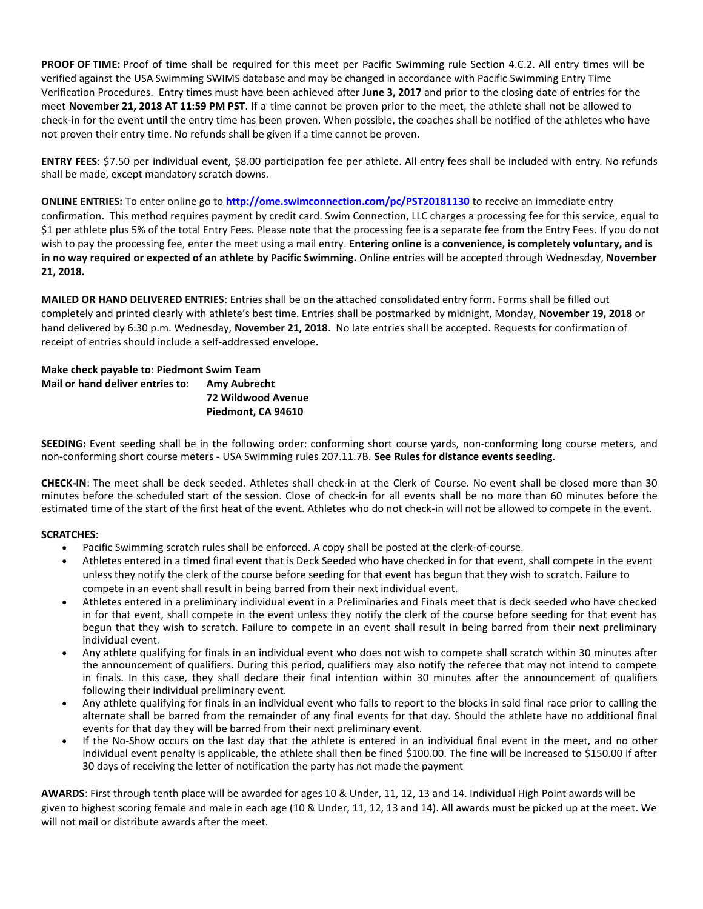**PROOF OF TIME:** Proof of time shall be required for this meet per Pacific Swimming rule Section 4.C.2. All entry times will be verified against the USA Swimming SWIMS database and may be changed in accordance with Pacific Swimming Entry Time Verification Procedures. Entry times must have been achieved after **June 3, 2017** and prior to the closing date of entries for the meet **November 21, 2018 AT 11:59 PM PST**. If a time cannot be proven prior to the meet, the athlete shall not be allowed to check-in for the event until the entry time has been proven. When possible, the coaches shall be notified of the athletes who have not proven their entry time. No refunds shall be given if a time cannot be proven.

**ENTRY FEES**: \$7.50 per individual event, \$8.00 participation fee per athlete. All entry fees shall be included with entry. No refunds shall be made, except mandatory scratch downs.

**ONLINE ENTRIES:** To enter online go to **<http://ome.swimconnection.com/pc/PST20181130>** to receive an immediate entry confirmation. This method requires payment by credit card. Swim Connection, LLC charges a processing fee for this service, equal to \$1 per athlete plus 5% of the total Entry Fees. Please note that the processing fee is a separate fee from the Entry Fees. If you do not wish to pay the processing fee, enter the meet using a mail entry. **Entering online is a convenience, is completely voluntary, and is in no way required or expected of an athlete by Pacific Swimming.** Online entries will be accepted through Wednesday, **November 21, 2018.**

**MAILED OR HAND DELIVERED ENTRIES**: Entries shall be on the attached consolidated entry form. Forms shall be filled out completely and printed clearly with athlete's best time. Entries shall be postmarked by midnight, Monday, **November 19, 2018** or hand delivered by 6:30 p.m. Wednesday, **November 21, 2018**. No late entries shall be accepted. Requests for confirmation of receipt of entries should include a self-addressed envelope.

# **Make check payable to**: **Piedmont Swim Team Mail or hand deliver entries to**: **Amy Aubrecht 72 Wildwood Avenue Piedmont, CA 94610**

**SEEDING:** Event seeding shall be in the following order: conforming short course yards, non-conforming long course meters, and non-conforming short course meters - USA Swimming rules 207.11.7B. **See Rules for distance events seeding**.

**CHECK-IN**: The meet shall be deck seeded. Athletes shall check-in at the Clerk of Course. No event shall be closed more than 30 minutes before the scheduled start of the session. Close of check-in for all events shall be no more than 60 minutes before the estimated time of the start of the first heat of the event. Athletes who do not check-in will not be allowed to compete in the event.

#### **SCRATCHES**:

- Pacific Swimming scratch rules shall be enforced. A copy shall be posted at the clerk-of-course.
- Athletes entered in a timed final event that is Deck Seeded who have checked in for that event, shall compete in the event unless they notify the clerk of the course before seeding for that event has begun that they wish to scratch. Failure to compete in an event shall result in being barred from their next individual event.
- Athletes entered in a preliminary individual event in a Preliminaries and Finals meet that is deck seeded who have checked in for that event, shall compete in the event unless they notify the clerk of the course before seeding for that event has begun that they wish to scratch. Failure to compete in an event shall result in being barred from their next preliminary individual event.
- Any athlete qualifying for finals in an individual event who does not wish to compete shall scratch within 30 minutes after the announcement of qualifiers. During this period, qualifiers may also notify the referee that may not intend to compete in finals. In this case, they shall declare their final intention within 30 minutes after the announcement of qualifiers following their individual preliminary event.
- Any athlete qualifying for finals in an individual event who fails to report to the blocks in said final race prior to calling the alternate shall be barred from the remainder of any final events for that day. Should the athlete have no additional final events for that day they will be barred from their next preliminary event.
- If the No-Show occurs on the last day that the athlete is entered in an individual final event in the meet, and no other individual event penalty is applicable, the athlete shall then be fined \$100.00. The fine will be increased to \$150.00 if after 30 days of receiving the letter of notification the party has not made the payment

**AWARDS**: First through tenth place will be awarded for ages 10 & Under, 11, 12, 13 and 14. Individual High Point awards will be given to highest scoring female and male in each age (10 & Under, 11, 12, 13 and 14). All awards must be picked up at the meet. We will not mail or distribute awards after the meet.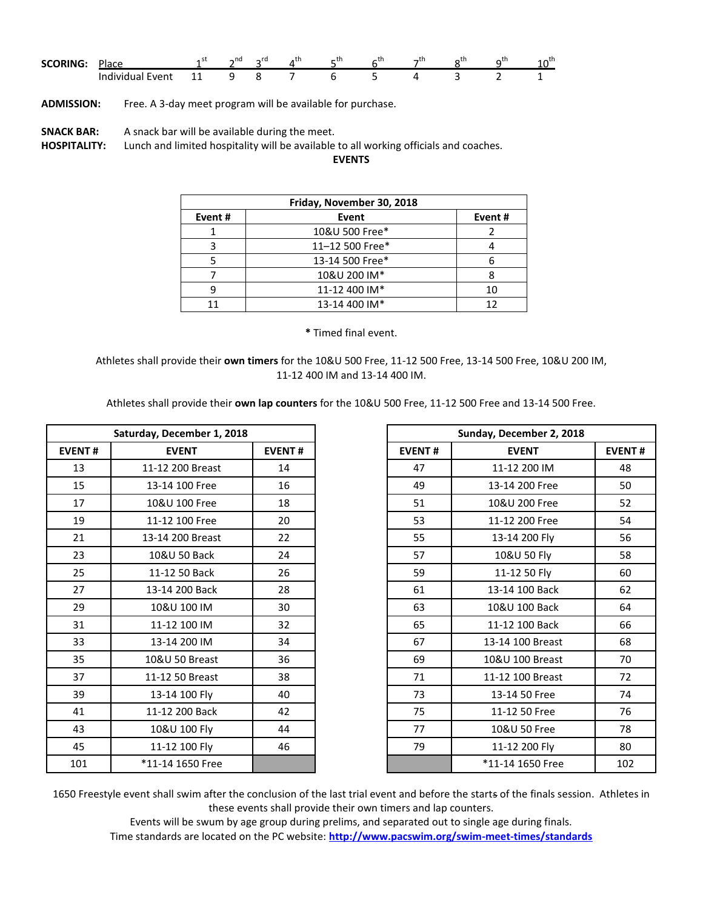| <b>SCORING:</b> | Place            |    | $\sim$ nd | rd<br>∽⊔ | ᅴᄓ | - 11 | AU. | - | $+h$<br>⌒⊔<br>ᅭ |
|-----------------|------------------|----|-----------|----------|----|------|-----|---|-----------------|
|                 | Individual Event | -- | ч         |          |    |      |     |   |                 |

**ADMISSION:** Free. A 3-day meet program will be available for purchase.

**SNACK BAR:** A snack bar will be available during the meet.

**HOSPITALITY:** Lunch and limited hospitality will be available to all working officials and coaches.

**EVENTS**

| Friday, November 30, 2018 |                 |        |  |  |  |  |
|---------------------------|-----------------|--------|--|--|--|--|
| Event#                    | Event           | Event# |  |  |  |  |
|                           | 10&U 500 Free*  |        |  |  |  |  |
|                           | 11-12 500 Free* |        |  |  |  |  |
|                           | 13-14 500 Free* |        |  |  |  |  |
|                           | 10&U 200 IM*    |        |  |  |  |  |
|                           | 11-12 400 IM*   |        |  |  |  |  |
|                           | 13-14 400 IM*   |        |  |  |  |  |

**\*** Timed final event.

Athletes shall provide their **own timers** for the 10&U 500 Free, 11-12 500 Free, 13-14 500 Free, 10&U 200 IM, 11-12 400 IM and 13-14 400 IM.

Athletes shall provide their **own lap counters** for the 10&U 500 Free, 11-12 500 Free and 13-14 500 Free.

| Saturday, December 1, 2018 |                  |               |               | Sunday, December 2, 2018 |
|----------------------------|------------------|---------------|---------------|--------------------------|
| <b>EVENT#</b>              | <b>EVENT</b>     | <b>EVENT#</b> | <b>EVENT#</b> | <b>EVENT</b>             |
| 13                         | 11-12 200 Breast | 14            | 47            | 11-12 200 IM             |
| 15                         | 13-14 100 Free   | 16            | 49            | 13-14 200 Free           |
| 17                         | 10&U 100 Free    | 18            | 51            | 10&U 200 Free            |
| 19                         | 11-12 100 Free   | 20            | 53            | 11-12 200 Free           |
| 21                         | 13-14 200 Breast | 22            | 55            | 13-14 200 Fly            |
| 23                         | 10&U 50 Back     | 24            | 57            | 10&U 50 Fly              |
| 25                         | 11-12 50 Back    | 26            | 59            | 11-12 50 Fly             |
| 27                         | 13-14 200 Back   | 28            | 61            | 13-14 100 Back           |
| 29                         | 10&U 100 IM      | 30            | 63            | 10&U 100 Back            |
| 31                         | 11-12 100 IM     | 32            | 65            | 11-12 100 Back           |
| 33                         | 13-14 200 IM     | 34            | 67            | 13-14 100 Breast         |
| 35                         | 10&U 50 Breast   | 36            | 69            | 10&U 100 Breast          |
| 37                         | 11-12 50 Breast  | 38            | 71            | 11-12 100 Breast         |
| 39                         | 13-14 100 Fly    | 40            | 73            | 13-14 50 Free            |
| 41                         | 11-12 200 Back   | 42            | 75            | 11-12 50 Free            |
| 43                         | 10&U 100 Fly     | 44            | 77            | 10&U 50 Free             |
| 45                         | 11-12 100 Fly    | 46            | 79            | 11-12 200 Fly            |
| 101                        | *11-14 1650 Free |               |               | *11-14 1650 Free         |

|               | Saturday, December 1, 2018 |               |
|---------------|----------------------------|---------------|
| <b>EVENT#</b> | <b>EVENT</b>               | <b>EVENT#</b> |
| 13            | 11-12 200 Breast           | 14            |
| 15            | 13-14 100 Free             | 16            |
| 17            | 10&U 100 Free              | 18            |
| 19            | 11-12 100 Free             | 20            |
| 21            | 13-14 200 Breast           | 22            |
| 23            | 10&U 50 Back               | 24            |
| 25            | 11-12 50 Back              | 26            |
| 27            | 13-14 200 Back             | 28            |
| 29            | 10&U 100 IM                | 30            |
| 31            | 11-12 100 IM               | 32            |
| 33            | 13-14 200 IM               | 34            |
| 35            | 10&U 50 Breast             | 36            |
| 37            | 11-12 50 Breast            | 38            |
| 39            | 13-14 100 Fly              | 40            |
| 41            | 11-12 200 Back             | 42            |
| 43            | 10&U 100 Fly               | 44            |
| 45            | 11-12 100 Fly              | 46            |
| 101           | *11-14 1650 Free           |               |

1650 Freestyle event shall swim after the conclusion of the last trial event and before the starts of the finals session. Athletes in these events shall provide their own timers and lap counters.

Events will be swum by age group during prelims, and separated out to single age during finals.

Time standards are located on the PC website: **<http://www.pacswim.org/swim-meet-times/standards>**